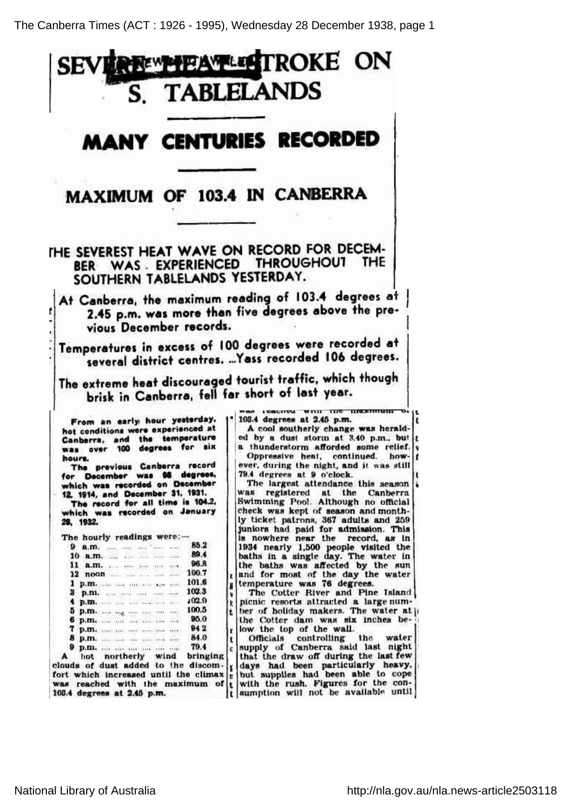